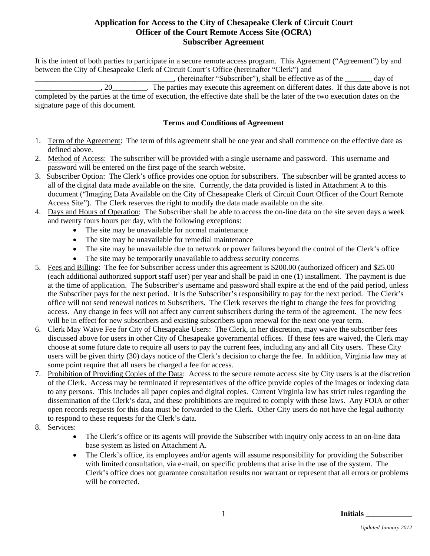# **Application for Access to the City of Chesapeake Clerk of Circuit Court Officer of the Court Remote Access Site (OCRA) Subscriber Agreement**

It is the intent of both parties to participate in a secure remote access program. This Agreement ("Agreement") by and between the City of Chesapeake Clerk of Circuit Court's Office (hereinafter "Clerk") and

\_\_\_\_\_\_\_\_\_\_\_\_\_\_\_\_\_\_\_\_\_\_\_\_\_\_\_\_\_\_\_\_\_\_\_\_, (hereinafter "Subscriber"), shall be effective as of the \_\_\_\_\_\_\_ day of \_\_\_\_\_\_\_\_\_\_\_\_\_\_\_\_\_, 20\_\_\_\_\_\_\_\_\_. The parties may execute this agreement on different dates. If this date above is not completed by the parties at the time of execution, the effective date shall be the later of the two execution dates on the signature page of this document.

# **Terms and Conditions of Agreement**

- 1. Term of the Agreement: The term of this agreement shall be one year and shall commence on the effective date as defined above.
- 2. Method of Access: The subscriber will be provided with a single username and password. This username and password will be entered on the first page of the search website.
- 3. Subscriber Option: The Clerk's office provides one option for subscribers. The subscriber will be granted access to all of the digital data made available on the site. Currently, the data provided is listed in Attachment A to this document ("Imaging Data Available on the City of Chesapeake Clerk of Circuit Court Officer of the Court Remote Access Site"). The Clerk reserves the right to modify the data made available on the site.
- 4. Days and Hours of Operation: The Subscriber shall be able to access the on-line data on the site seven days a week and twenty fours hours per day, with the following exceptions:
	- The site may be unavailable for normal maintenance
	- The site may be unavailable for remedial maintenance
	- The site may be unavailable due to network or power failures beyond the control of the Clerk's office
	- The site may be temporarily unavailable to address security concerns
- 5. Fees and Billing: The fee for Subscriber access under this agreement is \$200.00 (authorized officer) and \$25.00 (each additional authorized support staff user) per year and shall be paid in one (1) installment. The payment is due at the time of application. The Subscriber's username and password shall expire at the end of the paid period, unless the Subscriber pays for the next period. It is the Subscriber's responsibility to pay for the next period. The Clerk's office will not send renewal notices to Subscribers. The Clerk reserves the right to change the fees for providing access. Any change in fees will not affect any current subscribers during the term of the agreement. The new fees will be in effect for new subscribers and existing subscribers upon renewal for the next one-year term.
- 6. Clerk May Waive Fee for City of Chesapeake Users: The Clerk, in her discretion, may waive the subscriber fees discussed above for users in other City of Chesapeake governmental offices. If these fees are waived, the Clerk may choose at some future date to require all users to pay the current fees, including any and all City users. These City users will be given thirty (30) days notice of the Clerk's decision to charge the fee. In addition, Virginia law may at some point require that all users be charged a fee for access.
- 7. Prohibition of Providing Copies of the Data: Access to the secure remote access site by City users is at the discretion of the Clerk. Access may be terminated if representatives of the office provide copies of the images or indexing data to any persons. This includes all paper copies and digital copies. Current Virginia law has strict rules regarding the dissemination of the Clerk's data, and these prohibitions are required to comply with these laws. Any FOIA or other open records requests for this data must be forwarded to the Clerk. Other City users do not have the legal authority to respond to these requests for the Clerk's data.
- 8. Services:
	- The Clerk's office or its agents will provide the Subscriber with inquiry only access to an on-line data base system as listed on Attachment A.
	- The Clerk's office, its employees and/or agents will assume responsibility for providing the Subscriber with limited consultation, via e-mail, on specific problems that arise in the use of the system. The Clerk's office does not guarantee consultation results nor warrant or represent that all errors or problems will be corrected.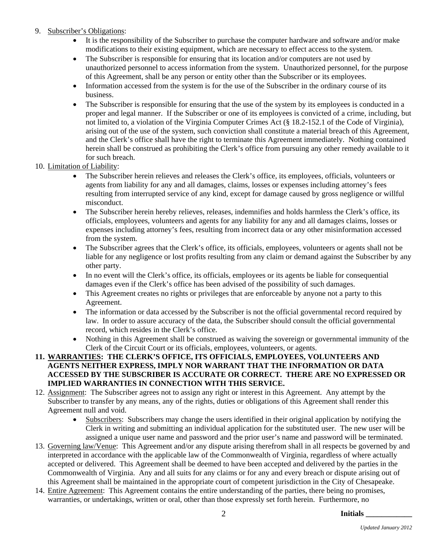# 9. Subscriber's Obligations:

- It is the responsibility of the Subscriber to purchase the computer hardware and software and/or make modifications to their existing equipment, which are necessary to effect access to the system.
- The Subscriber is responsible for ensuring that its location and/or computers are not used by unauthorized personnel to access information from the system. Unauthorized personnel, for the purpose of this Agreement, shall be any person or entity other than the Subscriber or its employees.
- Information accessed from the system is for the use of the Subscriber in the ordinary course of its business.
- The Subscriber is responsible for ensuring that the use of the system by its employees is conducted in a proper and legal manner. If the Subscriber or one of its employees is convicted of a crime, including, but not limited to, a violation of the Virginia Computer Crimes Act (§ 18.2-152.1 of the Code of Virginia), arising out of the use of the system, such conviction shall constitute a material breach of this Agreement, and the Clerk's office shall have the right to terminate this Agreement immediately. Nothing contained herein shall be construed as prohibiting the Clerk's office from pursuing any other remedy available to it for such breach.

# 10. Limitation of Liability:

- The Subscriber herein relieves and releases the Clerk's office, its employees, officials, volunteers or agents from liability for any and all damages, claims, losses or expenses including attorney's fees resulting from interrupted service of any kind, except for damage caused by gross negligence or willful misconduct.
- The Subscriber herein hereby relieves, releases, indemnifies and holds harmless the Clerk's office, its officials, employees, volunteers and agents for any liability for any and all damages claims, losses or expenses including attorney's fees, resulting from incorrect data or any other misinformation accessed from the system.
- The Subscriber agrees that the Clerk's office, its officials, employees, volunteers or agents shall not be liable for any negligence or lost profits resulting from any claim or demand against the Subscriber by any other party.
- In no event will the Clerk's office, its officials, employees or its agents be liable for consequential damages even if the Clerk's office has been advised of the possibility of such damages.
- This Agreement creates no rights or privileges that are enforceable by anyone not a party to this Agreement.
- The information or data accessed by the Subscriber is not the official governmental record required by law. In order to assure accuracy of the data, the Subscriber should consult the official governmental record, which resides in the Clerk's office.
- Nothing in this Agreement shall be construed as waiving the sovereign or governmental immunity of the Clerk of the Circuit Court or its officials, employees, volunteers, or agents.

#### **11. WARRANTIES: THE CLERK'S OFFICE, ITS OFFICIALS, EMPLOYEES, VOLUNTEERS AND AGENTS NEITHER EXPRESS, IMPLY NOR WARRANT THAT THE INFORMATION OR DATA ACCESSED BY THE SUBSCRIBER IS ACCURATE OR CORRECT. THERE ARE NO EXPRESSED OR IMPLIED WARRANTIES IN CONNECTION WITH THIS SERVICE.**

- 12. Assignment: The Subscriber agrees not to assign any right or interest in this Agreement. Any attempt by the Subscriber to transfer by any means, any of the rights, duties or obligations of this Agreement shall render this Agreement null and void.
	- Subscribers: Subscribers may change the users identified in their original application by notifying the Clerk in writing and submitting an individual application for the substituted user. The new user will be assigned a unique user name and password and the prior user's name and password will be terminated.
- 13. Governing law/Venue: This Agreement and/or any dispute arising therefrom shall in all respects be governed by and interpreted in accordance with the applicable law of the Commonwealth of Virginia, regardless of where actually accepted or delivered. This Agreement shall be deemed to have been accepted and delivered by the parties in the Commonwealth of Virginia. Any and all suits for any claims or for any and every breach or dispute arising out of this Agreement shall be maintained in the appropriate court of competent jurisdiction in the City of Chesapeake.
- 14. Entire Agreement: This Agreement contains the entire understanding of the parties, there being no promises, warranties, or undertakings, written or oral, other than those expressly set forth herein. Furthermore, no

**Initials \_\_\_\_\_\_\_\_\_\_\_\_**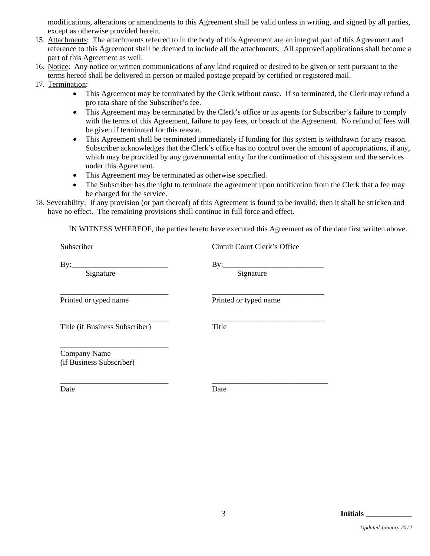modifications, alterations or amendments to this Agreement shall be valid unless in writing, and signed by all parties, except as otherwise provided herein.

- 15. Attachments: The attachments referred to in the body of this Agreement are an integral part of this Agreement and reference to this Agreement shall be deemed to include all the attachments. All approved applications shall become a part of this Agreement as well.
- 16. Notice: Any notice or written communications of any kind required or desired to be given or sent pursuant to the terms hereof shall be delivered in person or mailed postage prepaid by certified or registered mail.
- 17. Termination:
	- This Agreement may be terminated by the Clerk without cause. If so terminated, the Clerk may refund a pro rata share of the Subscriber's fee.
	- This Agreement may be terminated by the Clerk's office or its agents for Subscriber's failure to comply with the terms of this Agreement, failure to pay fees, or breach of the Agreement. No refund of fees will be given if terminated for this reason.
	- This Agreement shall be terminated immediately if funding for this system is withdrawn for any reason. Subscriber acknowledges that the Clerk's office has no control over the amount of appropriations, if any, which may be provided by any governmental entity for the continuation of this system and the services under this Agreement.
	- This Agreement may be terminated as otherwise specified.
	- The Subscriber has the right to terminate the agreement upon notification from the Clerk that a fee may be charged for the service.
- 18. Severability: If any provision (or part thereof) of this Agreement is found to be invalid, then it shall be stricken and have no effect. The remaining provisions shall continue in full force and effect.

IN WITNESS WHEREOF, the parties hereto have executed this Agreement as of the date first written above.

| Subscriber                               | Circuit Court Clerk's Office |
|------------------------------------------|------------------------------|
| By:                                      | By:                          |
| Signature                                | Signature                    |
| Printed or typed name                    | Printed or typed name        |
| Title (if Business Subscriber)           | Title                        |
| Company Name<br>(if Business Subscriber) |                              |

Date Date Date